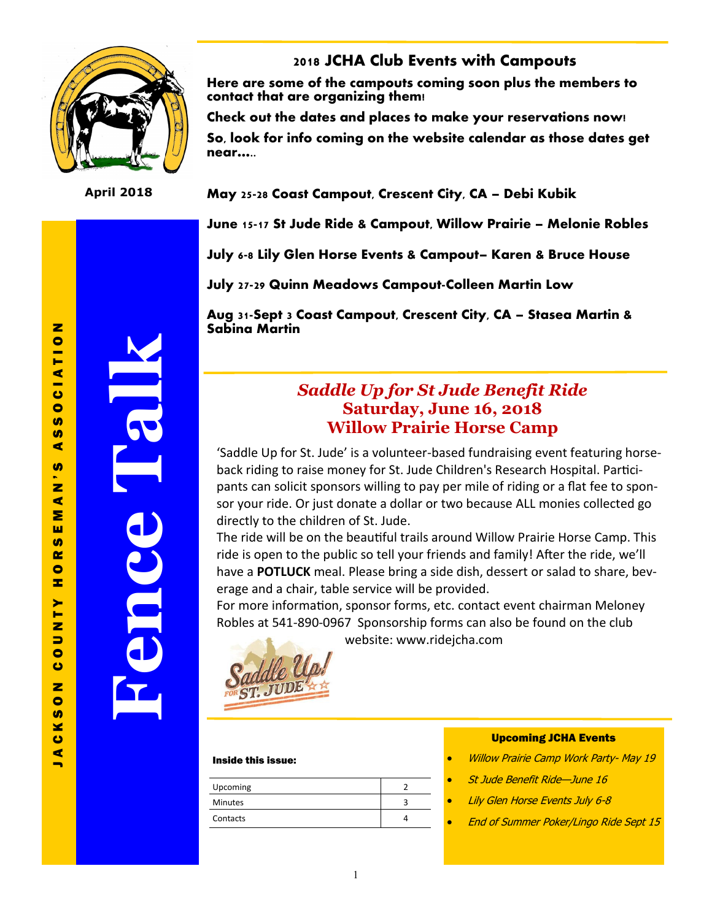

**April 2018**

# **2018 JCHA Club Events with Campouts**

**Here are some of the campouts coming soon plus the members to contact that are organizing them!** 

**Check out the dates and places to make your reservations now! So, look for info coming on the website calendar as those dates get near…..**

**May 25-28 Coast Campout, Crescent City, CA – Debi Kubik**

**June 15-17 St Jude Ride & Campout, Willow Prairie – Melonie Robles**

**July 6-8 Lily Glen Horse Events & Campout– Karen & Bruce House**

**July 27-29 Quinn Meadows Campout-Colleen Martin Low**

**Aug 31-Sept 3 Coast Campout, Crescent City, CA – Stasea Martin & Sabina Martin**

# *Saddle Up for St Jude Benefit Ride* **Saturday, June 16, 2018 Willow Prairie Horse Camp**

'Saddle Up for St. Jude' is a volunteer-based fundraising event featuring horseback riding to raise money for St. Jude Children's Research Hospital. Participants can solicit sponsors willing to pay per mile of riding or a flat fee to sponsor your ride. Or just donate a dollar or two because ALL monies collected go directly to the children of St. Jude.

The ride will be on the beautiful trails around Willow Prairie Horse Camp. This ride is open to the public so tell your friends and family! After the ride, we'll have a **POTLUCK** meal. Please bring a side dish, dessert or salad to share, beverage and a chair, table service will be provided.

For more information, sponsor forms, etc. contact event chairman Meloney Robles at 541-890-0967 Sponsorship forms can also be found on the club website: www.ridejcha.com



### Inside this issue:

| Upcoming       |  |
|----------------|--|
| <b>Minutes</b> |  |
| Contacts       |  |
|                |  |

### Upcoming JCHA Events

- Willow Prairie Camp Work Party- May 19
- St Jude Benefit Ride—June 16
- Lily Glen Horse Events July 6-8
- End of Summer Poker/Lingo Ride Sept 15

 $\blacksquare$ 

**Fence Talk**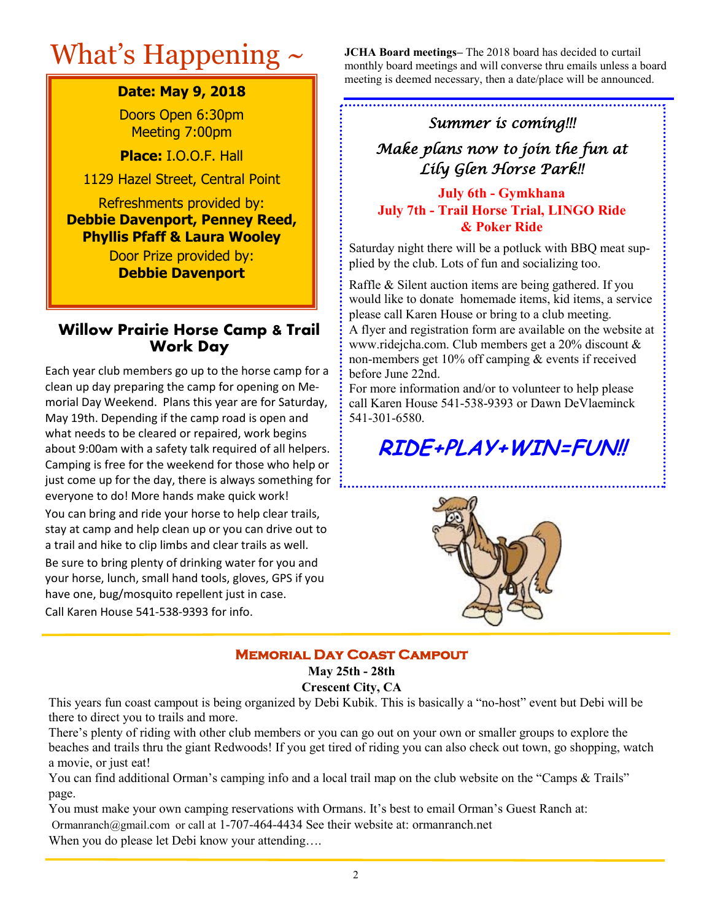# **Date: May 9, 2018**

Doors Open 6:30pm Meeting 7:00pm

**Place:** I.O.O.F. Hall

1129 Hazel Street, Central Point

Refreshments provided by: **Debbie Davenport, Penney Reed, Phyllis Pfaff & Laura Wooley**

> Door Prize provided by: **Debbie Davenport**

## **Willow Prairie Horse Camp & Trail Work Day**

Each year club members go up to the horse camp for a clean up day preparing the camp for opening on Memorial Day Weekend. Plans this year are for Saturday, May 19th. Depending if the camp road is open and what needs to be cleared or repaired, work begins about 9:00am with a safety talk required of all helpers. Camping is free for the weekend for those who help or just come up for the day, there is always something for everyone to do! More hands make quick work! You can bring and ride your horse to help clear trails, stay at camp and help clean up or you can drive out to a trail and hike to clip limbs and clear trails as well. Be sure to bring plenty of drinking water for you and your horse, lunch, small hand tools, gloves, GPS if you have one, bug/mosquito repellent just in case.

Call Karen House 541-538-9393 for info.

 $\text{What's Happening} \sim \text{JCHA Board meetings}$  The 2018 board has decided to curtail monthly board meetings and will converse thru emails unless a board meeting is deemed necessary, then a date/place will be announced.

# *Summer is coming!!! Make plans now to join the fun at Lily Glen Horse Park!!*

**July 6th - Gymkhana July 7th - Trail Horse Trial, LINGO Ride & Poker Ride**

Saturday night there will be a potluck with BBQ meat supplied by the club. Lots of fun and socializing too.

Raffle & Silent auction items are being gathered. If you would like to donate homemade items, kid items, a service please call Karen House or bring to a club meeting. A flyer and registration form are available on the website at www.ridejcha.com. Club members get a 20% discount & non-members get 10% off camping & events if received before June 22nd.

For more information and/or to volunteer to help please call Karen House 541-538-9393 or Dawn DeVlaeminck 541-301-6580.

# **RIDE+PLAY+WIN=FUN!!**



# **Memorial Day Coast Campout**

**May 25th - 28th** 

**Crescent City, CA**

This years fun coast campout is being organized by Debi Kubik. This is basically a "no-host" event but Debi will be there to direct you to trails and more.

There's plenty of riding with other club members or you can go out on your own or smaller groups to explore the beaches and trails thru the giant Redwoods! If you get tired of riding you can also check out town, go shopping, watch a movie, or just eat!

You can find additional Orman's camping info and a local trail map on the club website on the "Camps & Trails" page.

You must make your own camping reservations with Ormans. It's best to email Orman's Guest Ranch at: Ormanranch@gmail.com or call at 1-707-464-4434 See their website at: ormanranch.net When you do please let Debi know your attending....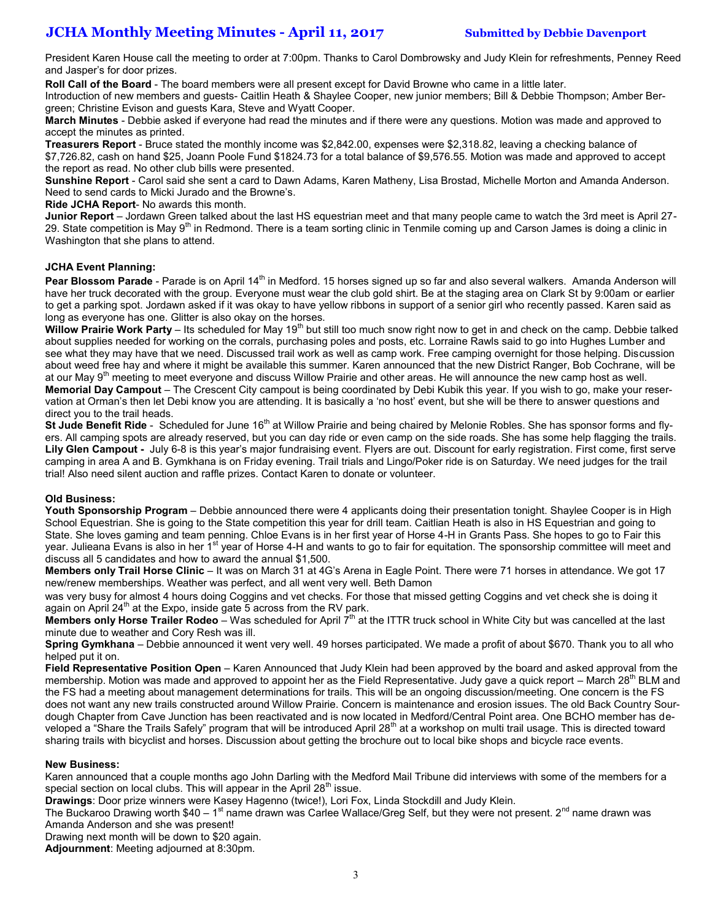President Karen House call the meeting to order at 7:00pm. Thanks to Carol Dombrowsky and Judy Klein for refreshments, Penney Reed and Jasper's for door prizes.

**Roll Call of the Board** - The board members were all present except for David Browne who came in a little later.

Introduction of new members and guests- Caitlin Heath & Shaylee Cooper, new junior members; Bill & Debbie Thompson; Amber Bergreen; Christine Evison and guests Kara, Steve and Wyatt Cooper.

**March Minutes** - Debbie asked if everyone had read the minutes and if there were any questions. Motion was made and approved to accept the minutes as printed.

**Treasurers Report** - Bruce stated the monthly income was \$2,842.00, expenses were \$2,318.82, leaving a checking balance of \$7,726.82, cash on hand \$25, Joann Poole Fund \$1824.73 for a total balance of \$9,576.55. Motion was made and approved to accept the report as read. No other club bills were presented.

**Sunshine Report** - Carol said she sent a card to Dawn Adams, Karen Matheny, Lisa Brostad, Michelle Morton and Amanda Anderson. Need to send cards to Micki Jurado and the Browne's.

**Ride JCHA Report**- No awards this month.

**Junior Report** – Jordawn Green talked about the last HS equestrian meet and that many people came to watch the 3rd meet is April 27- 29. State competition is May  $9<sup>th</sup>$  in Redmond. There is a team sorting clinic in Tenmile coming up and Carson James is doing a clinic in Washington that she plans to attend.

### **JCHA Event Planning:**

Pear Blossom Parade - Parade is on April 14<sup>th</sup> in Medford. 15 horses signed up so far and also several walkers. Amanda Anderson will have her truck decorated with the group. Everyone must wear the club gold shirt. Be at the staging area on Clark St by 9:00am or earlier to get a parking spot. Jordawn asked if it was okay to have yellow ribbons in support of a senior girl who recently passed. Karen said as long as everyone has one. Glitter is also okay on the horses.

Willow Prairie Work Party – Its scheduled for May 19<sup>th</sup> but still too much snow right now to get in and check on the camp. Debbie talked about supplies needed for working on the corrals, purchasing poles and posts, etc. Lorraine Rawls said to go into Hughes Lumber and see what they may have that we need. Discussed trail work as well as camp work. Free camping overnight for those helping. Discussion about weed free hay and where it might be available this summer. Karen announced that the new District Ranger, Bob Cochrane, will be at our May 9<sup>th</sup> meeting to meet everyone and discuss Willow Prairie and other areas. He will announce the new camp host as well. **Memorial Day Campout** – The Crescent City campout is being coordinated by Debi Kubik this year. If you wish to go, make your reservation at Orman's then let Debi know you are attending. It is basically a 'no host' event, but she will be there to answer questions and direct you to the trail heads.

**St Jude Benefit Ride** - Scheduled for June 16<sup>th</sup> at Willow Prairie and being chaired by Melonie Robles. She has sponsor forms and flyers. All camping spots are already reserved, but you can day ride or even camp on the side roads. She has some help flagging the trails. **Lily Glen Campout -** July 6-8 is this year's major fundraising event. Flyers are out. Discount for early registration. First come, first serve camping in area A and B. Gymkhana is on Friday evening. Trail trials and Lingo/Poker ride is on Saturday. We need judges for the trail trial! Also need silent auction and raffle prizes. Contact Karen to donate or volunteer.

### **Old Business:**

**Youth Sponsorship Program** – Debbie announced there were 4 applicants doing their presentation tonight. Shaylee Cooper is in High School Equestrian. She is going to the State competition this year for drill team. Caitlian Heath is also in HS Equestrian and going to State. She loves gaming and team penning. Chloe Evans is in her first year of Horse 4-H in Grants Pass. She hopes to go to Fair this year. Julieana Evans is also in her 1<sup>st</sup> year of Horse 4-H and wants to go to fair for equitation. The sponsorship committee will meet and discuss all 5 candidates and how to award the annual \$1,500.

**Members only Trail Horse Clinic** – It was on March 31 at 4G's Arena in Eagle Point. There were 71 horses in attendance. We got 17 new/renew memberships. Weather was perfect, and all went very well. Beth Damon

was very busy for almost 4 hours doing Coggins and vet checks. For those that missed getting Coggins and vet check she is doing it again on April  $24<sup>th</sup>$  at the Expo, inside gate 5 across from the RV park.

Members only Horse Trailer Rodeo – Was scheduled for April 7<sup>th</sup> at the ITTR truck school in White City but was cancelled at the last minute due to weather and Cory Resh was ill.

**Spring Gymkhana** – Debbie announced it went very well. 49 horses participated. We made a profit of about \$670. Thank you to all who helped put it on.

**Field Representative Position Open** – Karen Announced that Judy Klein had been approved by the board and asked approval from the membership. Motion was made and approved to appoint her as the Field Representative. Judy gave a quick report – March 28<sup>th</sup> BLM and the FS had a meeting about management determinations for trails. This will be an ongoing discussion/meeting. One concern is the FS does not want any new trails constructed around Willow Prairie. Concern is maintenance and erosion issues. The old Back Country Sourdough Chapter from Cave Junction has been reactivated and is now located in Medford/Central Point area. One BCHO member has developed a "Share the Trails Safely" program that will be introduced April 28<sup>th</sup> at a workshop on multi trail usage. This is directed toward sharing trails with bicyclist and horses. Discussion about getting the brochure out to local bike shops and bicycle race events.

### **New Business:**

Karen announced that a couple months ago John Darling with the Medford Mail Tribune did interviews with some of the members for a special section on local clubs. This will appear in the April  $28<sup>th</sup>$  issue.

**Drawings**: Door prize winners were Kasey Hagenno (twice!), Lori Fox, Linda Stockdill and Judy Klein.

The Buckaroo Drawing worth \$40 – 1<sup>st</sup> name drawn was Carlee Wallace/Greg Self, but they were not present. 2<sup>nd</sup> name drawn was Amanda Anderson and she was present!

Drawing next month will be down to \$20 again.

**Adjournment**: Meeting adjourned at 8:30pm.